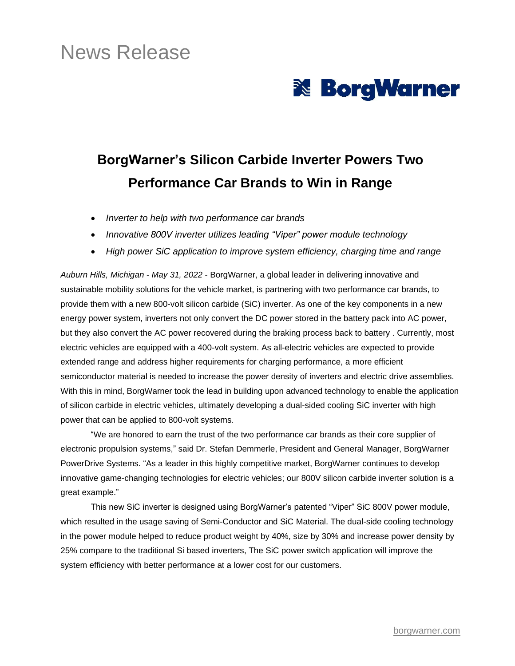# News Release



## **BorgWarner's Silicon Carbide Inverter Powers Two Performance Car Brands to Win in Range**

- *Inverter to help with two performance car brands*
- *Innovative 800V inverter utilizes leading "Viper" power module technology*
- *High power SiC application to improve system efficiency, charging time and range*

*Auburn Hills, Michigan - May 31, 2022 -* BorgWarner, a global leader in delivering innovative and sustainable mobility solutions for the vehicle market, is partnering with two performance car brands, to provide them with a new 800-volt silicon carbide (SiC) inverter. As one of the key components in a new energy power system, inverters not only convert the DC power stored in the battery pack into AC power, but they also convert the AC power recovered during the braking process back to battery . Currently, most electric vehicles are equipped with a 400-volt system. As all-electric vehicles are expected to provide extended range and address higher requirements for charging performance, a more efficient semiconductor material is needed to increase the power density of inverters and electric drive assemblies. With this in mind, BorgWarner took the lead in building upon advanced technology to enable the application of silicon carbide in electric vehicles, ultimately developing a dual-sided cooling SiC inverter with high power that can be applied to 800-volt systems.

"We are honored to earn the trust of the two performance car brands as their core supplier of electronic propulsion systems," said Dr. Stefan Demmerle, President and General Manager, BorgWarner PowerDrive Systems. "As a leader in this highly competitive market, BorgWarner continues to develop innovative game-changing technologies for electric vehicles; our 800V silicon carbide inverter solution is a great example."

This new SiC inverter is designed using BorgWarner's patented "Viper" SiC 800V power module, which resulted in the usage saving of Semi-Conductor and SiC Material. The dual-side cooling technology in the power module helped to reduce product weight by 40%, size by 30% and increase power density by 25% compare to the traditional Si based inverters, The SiC power switch application will improve the system efficiency with better performance at a lower cost for our customers.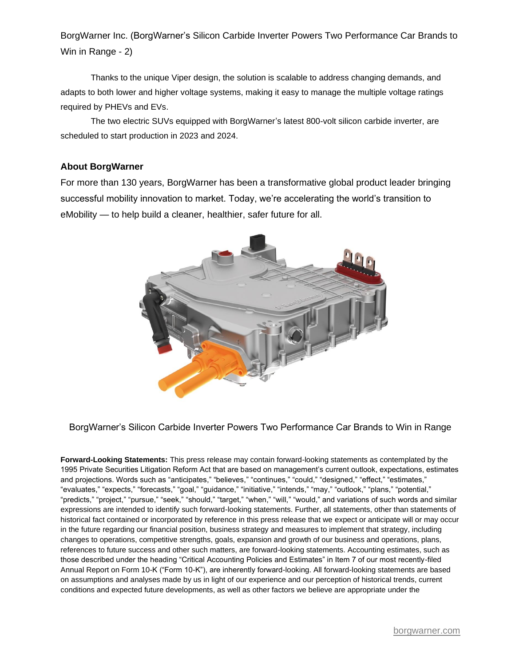BorgWarner Inc. (BorgWarner's Silicon Carbide Inverter Powers Two Performance Car Brands to Win in Range - 2)

Thanks to the unique Viper design, the solution is scalable to address changing demands, and adapts to both lower and higher voltage systems, making it easy to manage the multiple voltage ratings required by PHEVs and EVs.

The two electric SUVs equipped with BorgWarner's latest 800-volt silicon carbide inverter, are scheduled to start production in 2023 and 2024.

#### **About BorgWarner**

For more than 130 years, BorgWarner has been a transformative global product leader bringing successful mobility innovation to market. Today, we're accelerating the world's transition to eMobility — to help build a cleaner, healthier, safer future for all.



BorgWarner's Silicon Carbide Inverter Powers Two Performance Car Brands to Win in Range

**Forward-Looking Statements:** This press release may contain forward-looking statements as contemplated by the 1995 Private Securities Litigation Reform Act that are based on management's current outlook, expectations, estimates and projections. Words such as "anticipates," "believes," "continues," "could," "designed," "effect," "estimates," "evaluates," "expects," "forecasts," "goal," "guidance," "initiative," "intends," "may," "outlook," "plans," "potential," "predicts," "project," "pursue," "seek," "should," "target," "when," "will," "would," and variations of such words and similar expressions are intended to identify such forward-looking statements. Further, all statements, other than statements of historical fact contained or incorporated by reference in this press release that we expect or anticipate will or may occur in the future regarding our financial position, business strategy and measures to implement that strategy, including changes to operations, competitive strengths, goals, expansion and growth of our business and operations, plans, references to future success and other such matters, are forward-looking statements. Accounting estimates, such as those described under the heading "Critical Accounting Policies and Estimates" in Item 7 of our most recently-filed Annual Report on Form 10-K ("Form 10-K"), are inherently forward-looking. All forward-looking statements are based on assumptions and analyses made by us in light of our experience and our perception of historical trends, current conditions and expected future developments, as well as other factors we believe are appropriate under the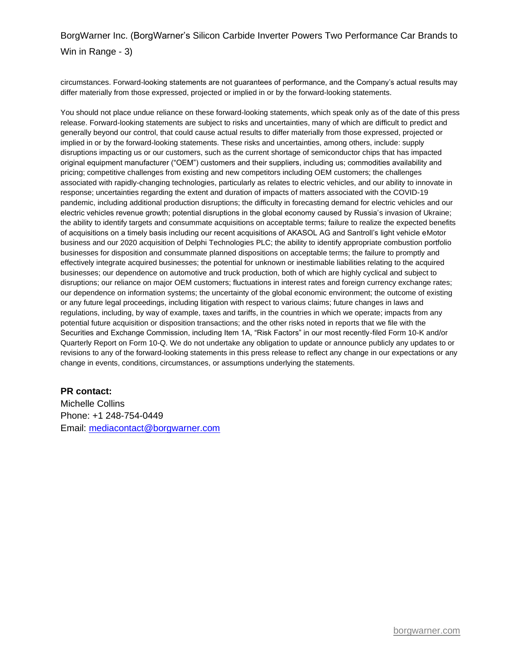### BorgWarner Inc. (BorgWarner's Silicon Carbide Inverter Powers Two Performance Car Brands to Win in Range - 3)

circumstances. Forward-looking statements are not guarantees of performance, and the Company's actual results may differ materially from those expressed, projected or implied in or by the forward-looking statements.

You should not place undue reliance on these forward-looking statements, which speak only as of the date of this press release. Forward-looking statements are subject to risks and uncertainties, many of which are difficult to predict and generally beyond our control, that could cause actual results to differ materially from those expressed, projected or implied in or by the forward-looking statements. These risks and uncertainties, among others, include: supply disruptions impacting us or our customers, such as the current shortage of semiconductor chips that has impacted original equipment manufacturer ("OEM") customers and their suppliers, including us; commodities availability and pricing; competitive challenges from existing and new competitors including OEM customers; the challenges associated with rapidly-changing technologies, particularly as relates to electric vehicles, and our ability to innovate in response; uncertainties regarding the extent and duration of impacts of matters associated with the COVID-19 pandemic, including additional production disruptions; the difficulty in forecasting demand for electric vehicles and our electric vehicles revenue growth; potential disruptions in the global economy caused by Russia's invasion of Ukraine; the ability to identify targets and consummate acquisitions on acceptable terms; failure to realize the expected benefits of acquisitions on a timely basis including our recent acquisitions of AKASOL AG and Santroll's light vehicle eMotor business and our 2020 acquisition of Delphi Technologies PLC; the ability to identify appropriate combustion portfolio businesses for disposition and consummate planned dispositions on acceptable terms; the failure to promptly and effectively integrate acquired businesses; the potential for unknown or inestimable liabilities relating to the acquired businesses; our dependence on automotive and truck production, both of which are highly cyclical and subject to disruptions; our reliance on major OEM customers; fluctuations in interest rates and foreign currency exchange rates; our dependence on information systems; the uncertainty of the global economic environment; the outcome of existing or any future legal proceedings, including litigation with respect to various claims; future changes in laws and regulations, including, by way of example, taxes and tariffs, in the countries in which we operate; impacts from any potential future acquisition or disposition transactions; and the other risks noted in reports that we file with the Securities and Exchange Commission, including Item 1A, "Risk Factors" in our most recently-filed Form 10-K and/or Quarterly Report on Form 10-Q. We do not undertake any obligation to update or announce publicly any updates to or revisions to any of the forward-looking statements in this press release to reflect any change in our expectations or any change in events, conditions, circumstances, or assumptions underlying the statements.

#### **PR contact:**

Michelle Collins Phone: +1 248-754-0449 Email: [mediacontact@borgwarner.com](mailto:mediacontact@borgwarner.com)